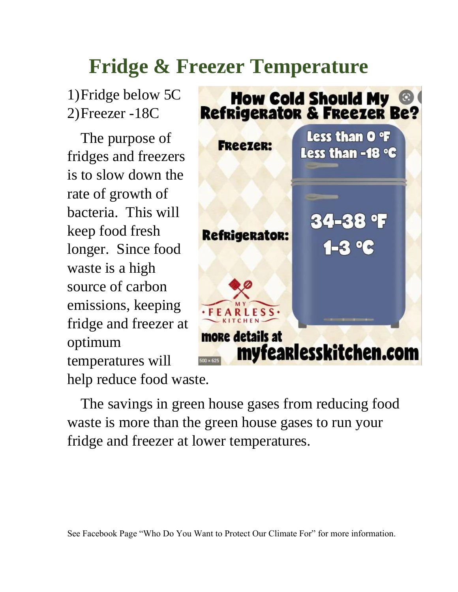## **Fridge & Freezer Temperature**

1)Fridge below 5C 2)Freezer -18C

The purpose of fridges and freezers is to slow down the rate of growth of bacteria. This will keep food fresh longer. Since food waste is a high source of carbon emissions, keeping fridge and freezer at optimum temperatures will help reduce food waste.



The savings in green house gases from reducing food waste is more than the green house gases to run your fridge and freezer at lower temperatures.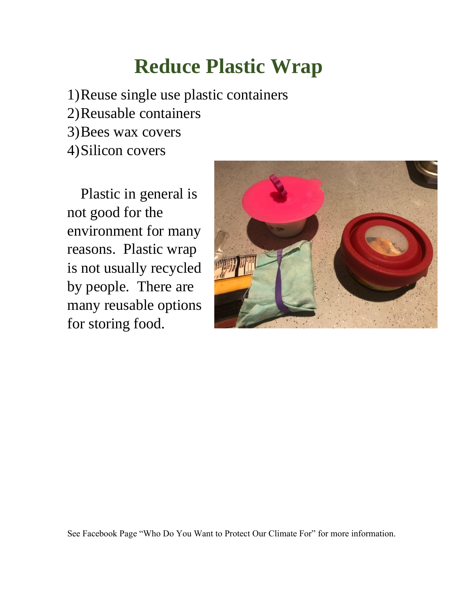## **Reduce Plastic Wrap**

1)Reuse single use plastic containers

- 2)Reusable containers
- 3)Bees wax covers
- 4)Silicon covers

Plastic in general is not good for the environment for many reasons. Plastic wrap is not usually recycled by people. There are many reusable options for storing food.



See Facebook Page "Who Do You Want to Protect Our Climate For" for more information.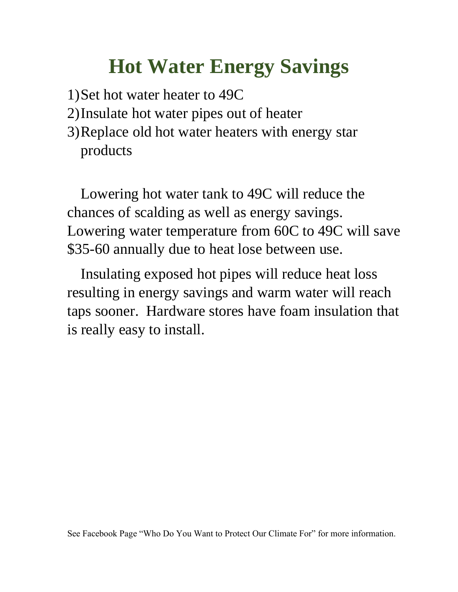## **Hot Water Energy Savings**

- 1)Set hot water heater to 49C
- 2)Insulate hot water pipes out of heater
- 3)Replace old hot water heaters with energy star products

Lowering hot water tank to 49C will reduce the chances of scalding as well as energy savings. Lowering water temperature from 60C to 49C will save \$35-60 annually due to heat lose between use.

Insulating exposed hot pipes will reduce heat loss resulting in energy savings and warm water will reach taps sooner. Hardware stores have foam insulation that is really easy to install.